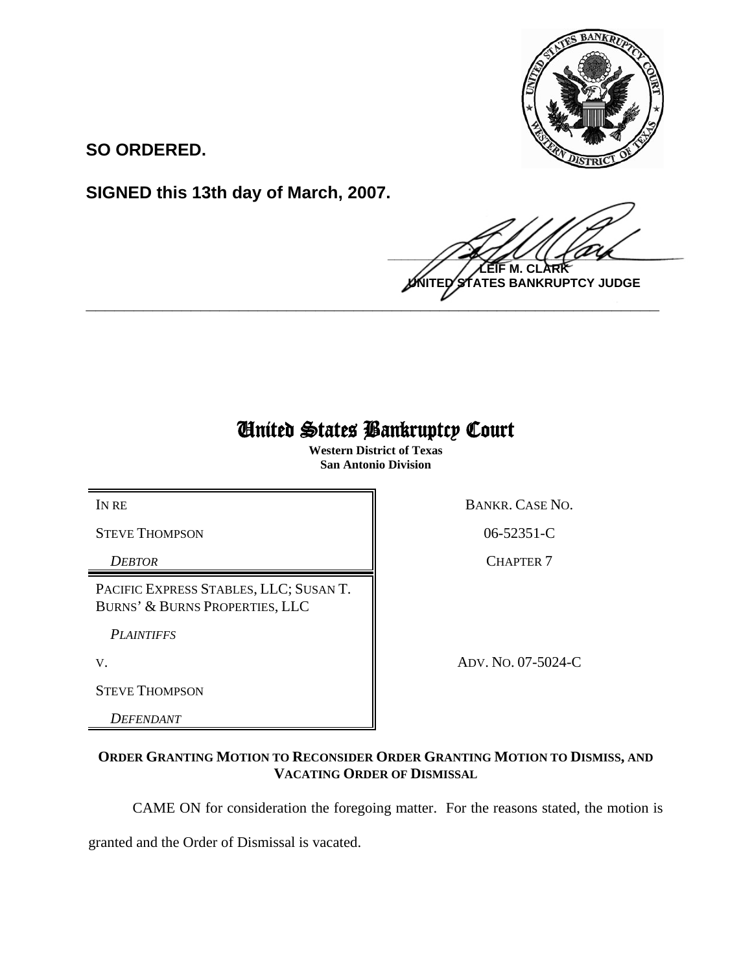

**SO ORDERED.**

**SIGNED this 13th day of March, 2007.**

 $\frac{1}{2}$ **M. C NTES BANKRUPTCY JUDGE \_\_\_\_\_\_\_\_\_\_\_\_\_\_\_\_\_\_\_\_\_\_\_\_\_\_\_\_\_\_\_\_\_\_\_\_\_\_\_\_\_\_\_\_\_\_\_\_\_\_\_\_\_\_\_\_\_\_\_\_**

## United States Bankruptcy Court

**Western District of Texas San Antonio Division**

STEVE THOMPSON 806-52351-C

PACIFIC EXPRESS STABLES, LLC; SUSAN T. BURNS' & BURNS PROPERTIES, LLC

*PLAINTIFFS* 

STEVE THOMPSON

*DEFENDANT* 

IN RE BANKR. CASE NO.

**DEBTOR** CHAPTER 7

V. ADV. NO. 07-5024-C

## **ORDER GRANTING MOTION TO RECONSIDER ORDER GRANTING MOTION TO DISMISS, AND VACATING ORDER OF DISMISSAL**

CAME ON for consideration the foregoing matter. For the reasons stated, the motion is

granted and the Order of Dismissal is vacated.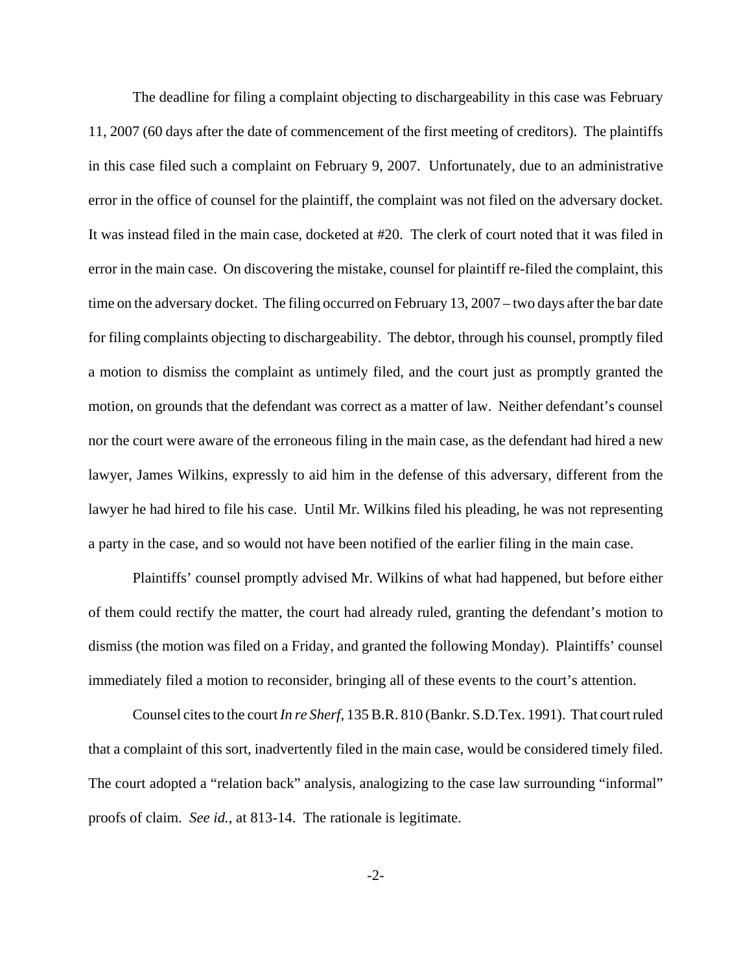The deadline for filing a complaint objecting to dischargeability in this case was February 11, 2007 (60 days after the date of commencement of the first meeting of creditors). The plaintiffs in this case filed such a complaint on February 9, 2007. Unfortunately, due to an administrative error in the office of counsel for the plaintiff, the complaint was not filed on the adversary docket. It was instead filed in the main case, docketed at #20. The clerk of court noted that it was filed in error in the main case. On discovering the mistake, counsel for plaintiff re-filed the complaint, this time on the adversary docket. The filing occurred on February 13, 2007 – two days after the bar date for filing complaints objecting to dischargeability. The debtor, through his counsel, promptly filed a motion to dismiss the complaint as untimely filed, and the court just as promptly granted the motion, on grounds that the defendant was correct as a matter of law. Neither defendant's counsel nor the court were aware of the erroneous filing in the main case, as the defendant had hired a new lawyer, James Wilkins, expressly to aid him in the defense of this adversary, different from the lawyer he had hired to file his case. Until Mr. Wilkins filed his pleading, he was not representing a party in the case, and so would not have been notified of the earlier filing in the main case.

Plaintiffs' counsel promptly advised Mr. Wilkins of what had happened, but before either of them could rectify the matter, the court had already ruled, granting the defendant's motion to dismiss (the motion was filed on a Friday, and granted the following Monday). Plaintiffs' counsel immediately filed a motion to reconsider, bringing all of these events to the court's attention.

Counsel cites to the court *In re Sherf*, 135 B.R. 810 (Bankr. S.D.Tex. 1991). That court ruled that a complaint of this sort, inadvertently filed in the main case, would be considered timely filed. The court adopted a "relation back" analysis, analogizing to the case law surrounding "informal" proofs of claim. *See id.*, at 813-14. The rationale is legitimate.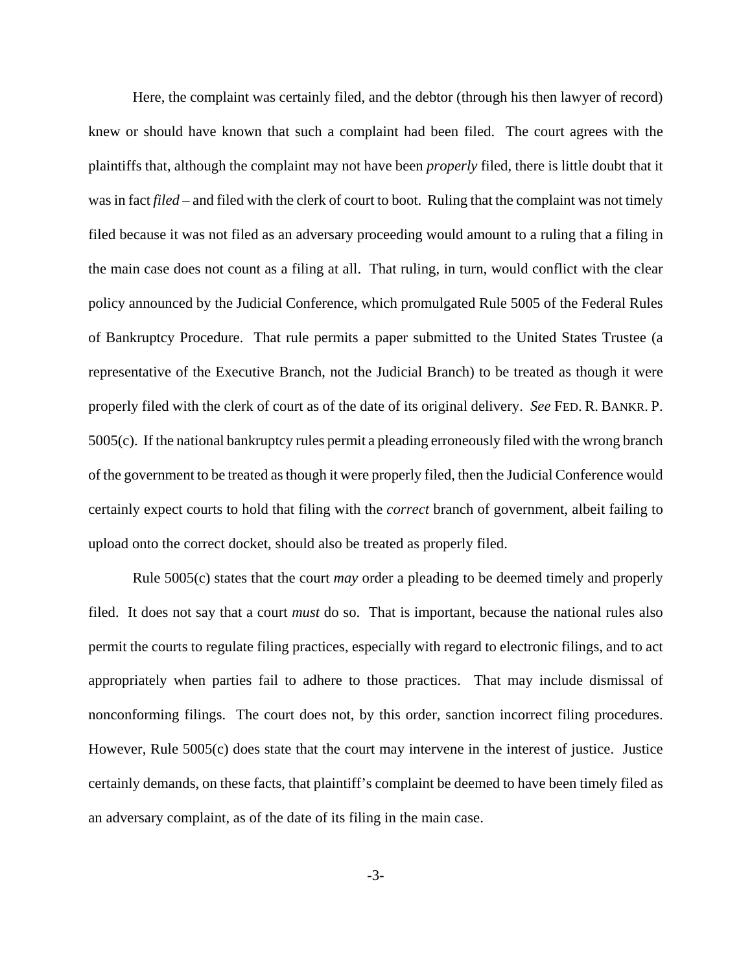Here, the complaint was certainly filed, and the debtor (through his then lawyer of record) knew or should have known that such a complaint had been filed. The court agrees with the plaintiffs that, although the complaint may not have been *properly* filed, there is little doubt that it was in fact *filed* – and filed with the clerk of court to boot. Ruling that the complaint was not timely filed because it was not filed as an adversary proceeding would amount to a ruling that a filing in the main case does not count as a filing at all. That ruling, in turn, would conflict with the clear policy announced by the Judicial Conference, which promulgated Rule 5005 of the Federal Rules of Bankruptcy Procedure. That rule permits a paper submitted to the United States Trustee (a representative of the Executive Branch, not the Judicial Branch) to be treated as though it were properly filed with the clerk of court as of the date of its original delivery. *See* FED. R. BANKR. P. 5005(c). If the national bankruptcy rules permit a pleading erroneously filed with the wrong branch of the government to be treated as though it were properly filed, then the Judicial Conference would certainly expect courts to hold that filing with the *correct* branch of government, albeit failing to upload onto the correct docket, should also be treated as properly filed.

Rule 5005(c) states that the court *may* order a pleading to be deemed timely and properly filed. It does not say that a court *must* do so. That is important, because the national rules also permit the courts to regulate filing practices, especially with regard to electronic filings, and to act appropriately when parties fail to adhere to those practices. That may include dismissal of nonconforming filings. The court does not, by this order, sanction incorrect filing procedures. However, Rule 5005(c) does state that the court may intervene in the interest of justice. Justice certainly demands, on these facts, that plaintiff's complaint be deemed to have been timely filed as an adversary complaint, as of the date of its filing in the main case.